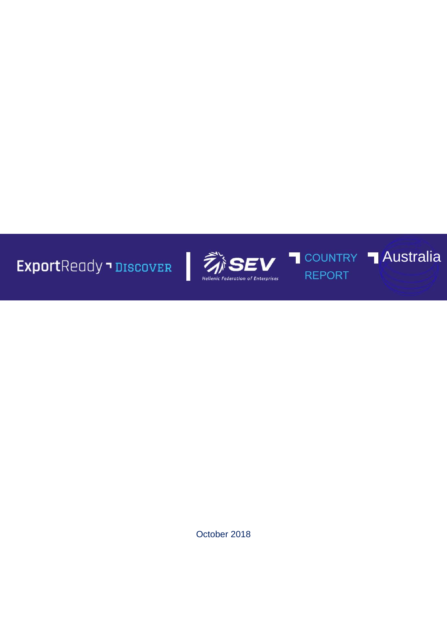**Export**Ready • DISCOVER



 $\overline{\mathbb{I}}$ 

**REPORT** 

**T COUNTRY T Australia** 

October 2018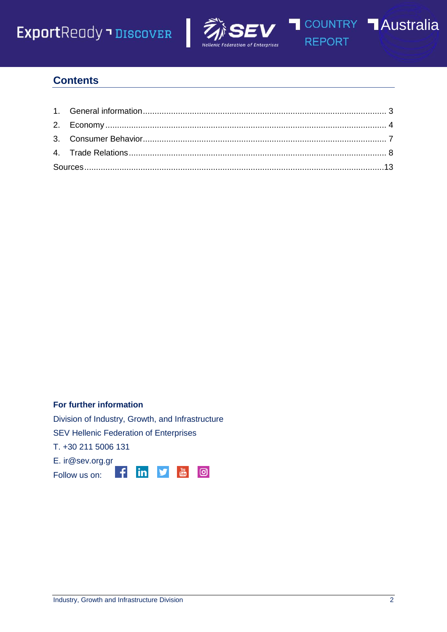





**REPORT** 

## **Contents**

#### **For further information**

Division of Industry, Growth, and Infrastructure

in

v

 $\frac{You}{fanh}$ 

**©** 

SEV Hellenic Federation of Enterprises

 $\left| \cdot \right|$ 

T. +30 211 5006 131

E. ir@sev.org.gr

Follow us on: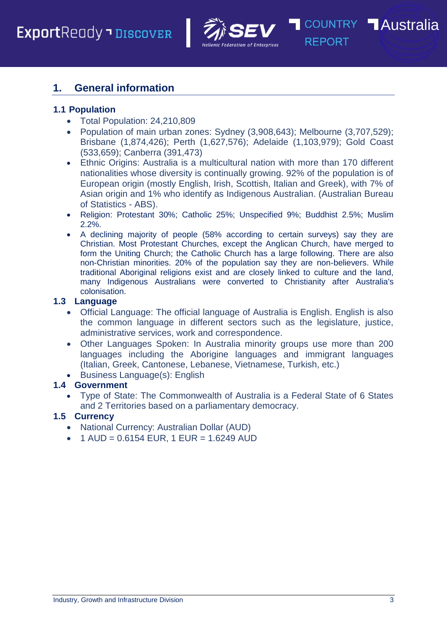

**REPORT** 

## <span id="page-2-0"></span>**1. General information**

## **1.1 Population**

- Total Population: 24,210,809
- Population of main urban zones: Sydney (3,908,643); Melbourne (3,707,529); Brisbane (1,874,426); Perth (1,627,576); Adelaide (1,103,979); Gold Coast (533,659); Canberra (391,473)
- Ethnic Origins: Australia is a multicultural nation with more than 170 different nationalities whose diversity is continually growing. 92% of the population is of European origin (mostly English, Irish, Scottish, Italian and Greek), with 7% of Asian origin and 1% who identify as Indigenous Australian. (Australian Bureau of Statistics - ABS).
- Religion: Protestant 30%; Catholic 25%; Unspecified 9%; Buddhist 2.5%; Muslim 2.2%.
- A declining majority of people (58% according to certain surveys) say they are Christian. Most Protestant Churches, except the Anglican Church, have merged to form the Uniting Church; the Catholic Church has a large following. There are also non-Christian minorities. 20% of the population say they are non-believers. While traditional Aboriginal religions exist and are closely linked to culture and the land, many Indigenous Australians were converted to Christianity after Australia's colonisation.

## **1.3 Language**

- Official Language: The official language of Australia is English. English is also the common language in different sectors such as the legislature, justice, administrative services, work and correspondence.
- Other Languages Spoken: In Australia minority groups use more than 200 languages including the Aborigine languages and immigrant languages (Italian, Greek, Cantonese, Lebanese, Vietnamese, Turkish, etc.)
- Business Language(s): English

## **1.4 Government**

 Type of State: The Commonwealth of Australia is a Federal State of 6 States and 2 Territories based on a parliamentary democracy.

## **1.5 Currency**

- National Currency: Australian Dollar (AUD)
- $\bullet$  1 AUD = 0.6154 EUR, 1 EUR = 1.6249 AUD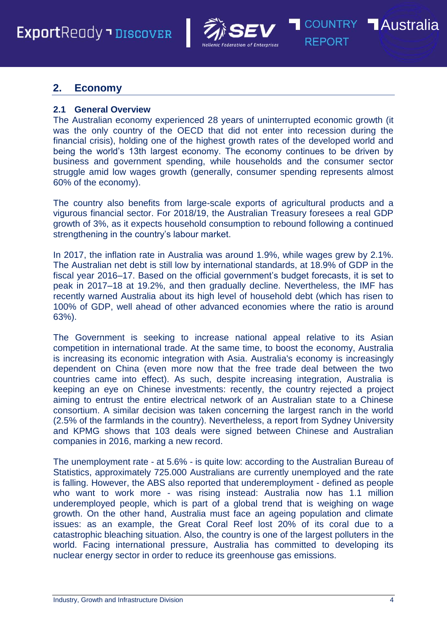

**COUNTRY Australia REPORT** 

## <span id="page-3-0"></span>**2. Economy**

#### **2.1 General Overview**

The Australian economy experienced 28 years of uninterrupted economic growth (it was the only country of the OECD that did not enter into recession during the financial crisis), holding one of the highest growth rates of the developed world and being the world's 13th largest economy. The economy continues to be driven by business and government spending, while households and the consumer sector struggle amid low wages growth (generally, consumer spending represents almost 60% of the economy).

The country also benefits from large-scale exports of agricultural products and a vigurous financial sector. For 2018/19, the Australian Treasury foresees a real GDP growth of 3%, as it expects household consumption to rebound following a continued strengthening in the country's labour market.

In 2017, the inflation rate in Australia was around 1.9%, while wages grew by 2.1%. The Australian net debt is still low by international standards, at 18.9% of GDP in the fiscal year 2016–17. Based on the official government's budget forecasts, it is set to peak in 2017–18 at 19.2%, and then gradually decline. Nevertheless, the IMF has recently warned Australia about its high level of household debt (which has risen to 100% of GDP, well ahead of other advanced economies where the ratio is around 63%).

The Government is seeking to increase national appeal relative to its Asian competition in international trade. At the same time, to boost the economy, Australia is increasing its economic integration with Asia. Australia's economy is increasingly dependent on China (even more now that the free trade deal between the two countries came into effect). As such, despite increasing integration, Australia is keeping an eye on Chinese investments: recently, the country rejected a project aiming to entrust the entire electrical network of an Australian state to a Chinese consortium. A similar decision was taken concerning the largest ranch in the world (2.5% of the farmlands in the country). Nevertheless, a report from Sydney University and KPMG shows that 103 deals were signed between Chinese and Australian companies in 2016, marking a new record.

The unemployment rate - at 5.6% - is quite low: according to the Australian Bureau of Statistics, approximately 725.000 Australians are currently unemployed and the rate is falling. However, the ABS also reported that underemployment - defined as people who want to work more - was rising instead: Australia now has 1.1 million underemployed people, which is part of a global trend that is weighing on wage growth. On the other hand, Australia must face an ageing population and climate issues: as an example, the Great Coral Reef lost 20% of its coral due to a catastrophic bleaching situation. Also, the country is one of the largest polluters in the world. Facing international pressure, Australia has committed to developing its nuclear energy sector in order to reduce its greenhouse gas emissions.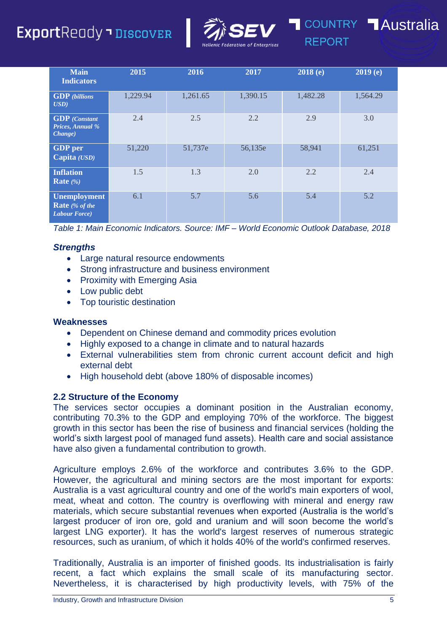## **Export**Ready **DiscovER**



|                                                                 |          |          | Hellenic rederation of Enterprises | .        |          |
|-----------------------------------------------------------------|----------|----------|------------------------------------|----------|----------|
| <b>Main</b><br><b>Indicators</b>                                | 2015     | 2016     | 2017                               | 2018(e)  | 2019(e)  |
| <b>GDP</b> (billions<br>$\boldsymbol{USD}$                      | 1,229.94 | 1,261.65 | 1,390.15                           | 1,482.28 | 1,564.29 |
| <b>GDP</b> (Constant<br>Prices, Annual %<br><i>Change</i> )     | 2.4      | 2.5      | 2.2                                | 2.9      | 3.0      |
| <b>GDP</b> per<br>Capita (USD)                                  | 51,220   | 51,737e  | 56,135e                            | 58,941   | 61,251   |
| <b>Inflation</b><br>Rate $(\% )$                                | 1.5      | 1.3      | 2.0                                | 2.2      | 2.4      |
| <b>Unemployment</b><br>Rate $%$ of the<br><b>Labour Force</b> ) | 6.1      | 5.7      | 5.6                                | 5.4      | 5.2      |

*Table 1: Main Economic Indicators. Source: IMF – World Economic Outlook Database, 2018*

## *Strengths*

- Large natural resource endowments
- Strong infrastructure and business environment
- Proximity with Emerging Asia
- Low public debt
- Top touristic destination

#### **Weaknesses**

- Dependent on Chinese demand and commodity prices evolution
- Highly exposed to a change in climate and to natural hazards
- External vulnerabilities stem from chronic current account deficit and high external debt
- High household debt (above 180% of disposable incomes)

## **2.2 Structure of the Economy**

The services sector occupies a dominant position in the Australian economy, contributing 70.3% to the GDP and employing 70% of the workforce. The biggest growth in this sector has been the rise of business and financial services (holding the world's sixth largest pool of managed fund assets). Health care and social assistance have also given a fundamental contribution to growth.

Agriculture employs 2.6% of the workforce and contributes 3.6% to the GDP. However, the agricultural and mining sectors are the most important for exports: Australia is a vast agricultural country and one of the world's main exporters of wool, meat, wheat and cotton. The country is overflowing with mineral and energy raw materials, which secure substantial revenues when exported (Australia is the world's largest producer of iron ore, gold and uranium and will soon become the world's largest LNG exporter). It has the world's largest reserves of numerous strategic resources, such as uranium, of which it holds 40% of the world's confirmed reserves.

Traditionally, Australia is an importer of finished goods. Its industrialisation is fairly recent, a fact which explains the small scale of its manufacturing sector. Nevertheless, it is characterised by high productivity levels, with 75% of the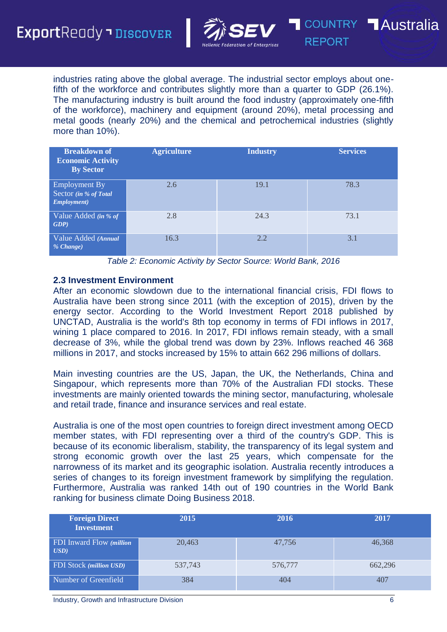

**REPORT** 

industries rating above the global average. The industrial sector employs about onefifth of the workforce and contributes slightly more than a quarter to GDP (26.1%). The manufacturing industry is built around the food industry (approximately one-fifth of the workforce), machinery and equipment (around 20%), metal processing and metal goods (nearly 20%) and the chemical and petrochemical industries (slightly more than 10%).

| <b>Breakdown of</b><br><b>Economic Activity</b><br><b>By Sector</b> | <b>Agriculture</b> | <b>Industry</b> | <b>Services</b> |
|---------------------------------------------------------------------|--------------------|-----------------|-----------------|
| <b>Employment By</b><br>Sector (in % of Total<br>Employment)        | 2.6                | 19.1            | 78.3            |
| Value Added (in % of<br>GDP                                         | 2.8                | 24.3            | 73.1            |
| Value Added (Annual<br>% Change)                                    | 16.3               | 2.2             | 3.1             |

*Table 2: Economic Activity by Sector Source: World Bank, 2016*

#### **2.3 Investment Environment**

After an economic slowdown due to the international financial crisis, FDI flows to Australia have been strong since 2011 (with the exception of 2015), driven by the energy sector. According to the World Investment Report 2018 published by UNCTAD, Australia is the world's 8th top economy in terms of FDI inflows in 2017, wining 1 place compared to 2016. In 2017, FDI inflows remain steady, with a small decrease of 3%, while the global trend was down by 23%. Inflows reached 46 368 millions in 2017, and stocks increased by 15% to attain 662 296 millions of dollars.

Main investing countries are the US, Japan, the UK, the Netherlands, China and Singapour, which represents more than 70% of the Australian FDI stocks. These investments are mainly oriented towards the mining sector, manufacturing, wholesale and retail trade, finance and insurance services and real estate.

Australia is one of the most open countries to foreign direct investment among OECD member states, with FDI representing over a third of the country's GDP. This is because of its economic liberalism, stability, the transparency of its legal system and strong economic growth over the last 25 years, which compensate for the narrowness of its market and its geographic isolation. Australia recently introduces a series of changes to its foreign investment framework by simplifying the regulation. Furthermore, Australia was ranked 14th out of 190 countries in the World Bank ranking for business climate Doing Business 2018.

| <b>Foreign Direct</b><br><b>Investment</b>     | 2015    | 2016    | 2017    |
|------------------------------------------------|---------|---------|---------|
| <b>FDI</b> Inward Flow ( <i>million</i><br>USD | 20,463  | 47,756  | 46,368  |
| <b>FDI</b> Stock (million USD)                 | 537,743 | 576,777 | 662,296 |
| Number of Greenfield                           | 384     | 404     | 407     |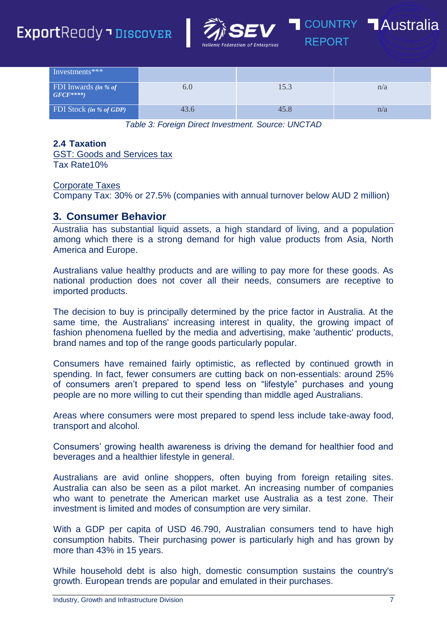



| Investments***                    |      |      |     |
|-----------------------------------|------|------|-----|
| FDI Inwards (in % of<br>$GFCF***$ | 6.U  | 15.3 | n/a |
| <b>FDI</b> Stock (in % of GDP)    | 43.6 | 45.8 | n/a |

*Table 3: Foreign Direct Investment. Source: UNCTAD*

#### **2.4 Taxation**

GST: Goods and Services tax Tax Rate10%

#### Corporate Taxes

Company Tax: 30% or 27.5% (companies with annual turnover below AUD 2 million)

## <span id="page-6-0"></span>**3. Consumer Behavior**

Australia has substantial liquid assets, a high standard of living, and a population among which there is a strong demand for high value products from Asia, North America and Europe.

Australians value healthy products and are willing to pay more for these goods. As national production does not cover all their needs, consumers are receptive to imported products.

The decision to buy is principally determined by the price factor in Australia. At the same time, the Australians' increasing interest in quality, the growing impact of fashion phenomena fuelled by the media and advertising, make 'authentic' products, brand names and top of the range goods particularly popular.

Consumers have remained fairly optimistic, as reflected by continued growth in spending. In fact, fewer consumers are cutting back on non-essentials: around 25% of consumers aren't prepared to spend less on "lifestyle" purchases and young people are no more willing to cut their spending than middle aged Australians.

Areas where consumers were most prepared to spend less include take-away food, transport and alcohol.

Consumers' growing health awareness is driving the demand for healthier food and beverages and a healthier lifestyle in general.

Australians are avid online shoppers, often buying from foreign retailing sites. Australia can also be seen as a pilot market. An increasing number of companies who want to penetrate the American market use Australia as a test zone. Their investment is limited and modes of consumption are very similar.

With a GDP per capita of USD 46.790, Australian consumers tend to have high consumption habits. Their purchasing power is particularly high and has grown by more than 43% in 15 years.

While household debt is also high, domestic consumption sustains the country's growth. European trends are popular and emulated in their purchases.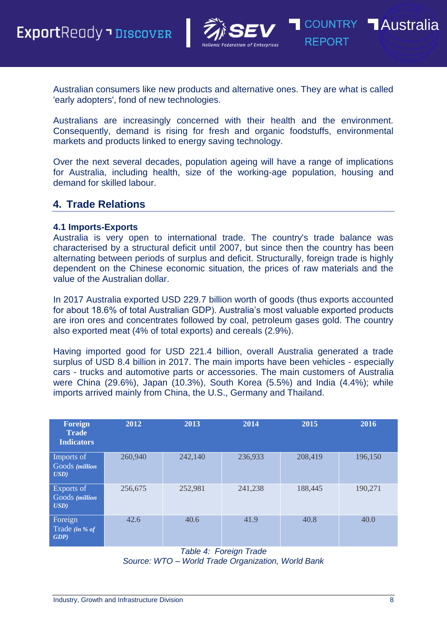

**REPORT** 

Australian consumers like new products and alternative ones. They are what is called 'early adopters', fond of new technologies.

Australians are increasingly concerned with their health and the environment. Consequently, demand is rising for fresh and organic foodstuffs, environmental markets and products linked to energy saving technology.

Over the next several decades, population ageing will have a range of implications for Australia, including health, size of the working-age population, housing and demand for skilled labour.

## <span id="page-7-0"></span>**4. Trade Relations**

#### **4.1 Imports-Exports**

Australia is very open to international trade. The country's trade balance was characterised by a structural deficit until 2007, but since then the country has been alternating between periods of surplus and deficit. Structurally, foreign trade is highly dependent on the Chinese economic situation, the prices of raw materials and the value of the Australian dollar.

In 2017 Australia exported USD 229.7 billion worth of goods (thus exports accounted for about 18.6% of total Australian GDP). Australia's most valuable exported products are iron ores and concentrates followed by coal, petroleum gases gold. The country also exported meat (4% of total exports) and cereals (2.9%).

Having imported good for USD 221.4 billion, overall Australia generated a trade surplus of USD 8.4 billion in 2017. The main imports have been vehicles - especially cars - trucks and automotive parts or accessories. The main customers of Australia were China (29.6%), Japan (10.3%), South Korea (5.5%) and India (4.4%); while imports arrived mainly from China, the U.S., Germany and Thailand.

| Foreign<br><b>Trade</b><br><b>Indicators</b>       | 2012    | 2013    | 2014    | 2015    | 2016    |
|----------------------------------------------------|---------|---------|---------|---------|---------|
| Imports of<br>Goods (million<br>$\boldsymbol{USD}$ | 260,940 | 242,140 | 236,933 | 208,419 | 196,150 |
| Exports of<br>Goods (million<br>$\boldsymbol{USD}$ | 256,675 | 252,981 | 241,238 | 188,445 | 190,271 |
| Foreign<br>Trade (in % of<br>GDP                   | 42.6    | 40.6    | 41.9    | 40.8    | 40.0    |

*Table 4: Foreign Trade*

*Source: WTO – World Trade Organization, World Bank*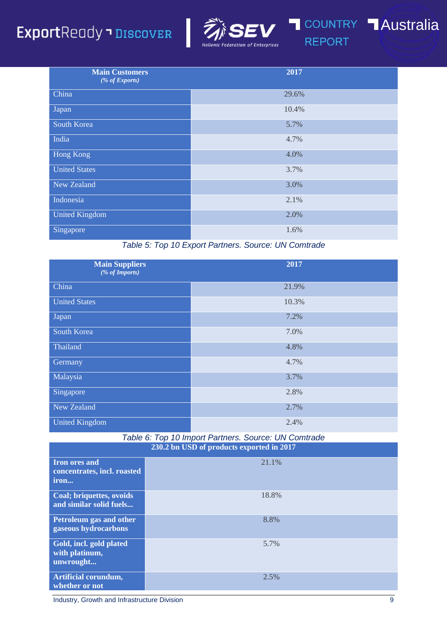# **Export**Ready - DISCOVER



I

**Australia** 

**REPORT** 

| <b>Main Customers</b><br>$(% f(x) = f(x)$ (% of Exports) | 2017  |
|----------------------------------------------------------|-------|
| China                                                    | 29.6% |
| Japan                                                    | 10.4% |
| South Korea                                              | 5.7%  |
| India                                                    | 4.7%  |
| Hong Kong                                                | 4.0%  |
| <b>United States</b>                                     | 3.7%  |
| New Zealand                                              | 3.0%  |
| Indonesia                                                | 2.1%  |
| <b>United Kingdom</b>                                    | 2.0%  |
| Singapore                                                | 1.6%  |

## *Table 5: Top 10 Export Partners. Source: UN Comtrade*

| <b>Main Suppliers</b><br>(% of Imports) | 2017  |
|-----------------------------------------|-------|
| China                                   | 21.9% |
| <b>United States</b>                    | 10.3% |
| Japan                                   | 7.2%  |
| South Korea                             | 7.0%  |
| Thailand                                | 4.8%  |
| Germany                                 | 4.7%  |
| Malaysia                                | 3.7%  |
| Singapore                               | 2.8%  |
| New Zealand                             | 2.7%  |
| <b>United Kingdom</b>                   | 2.4%  |

*Table 6: Top 10 Import Partners. Source: UN Comtrade* **230.2 bn USD of products exported in 2017**

| <b>Iron ores and</b><br>concentrates, incl. roasted<br>iron | 21.1% |
|-------------------------------------------------------------|-------|
| Coal; briquettes, ovoids<br>and similar solid fuels         | 18.8% |
| Petroleum gas and other<br>gaseous hydrocarbons             | 8.8%  |
| Gold, incl. gold plated<br>with platinum,<br>unwrought      | 5.7%  |
| Artificial corundum,<br>whether or not                      | 2.5%  |

Industry, Growth and Infrastructure Division 9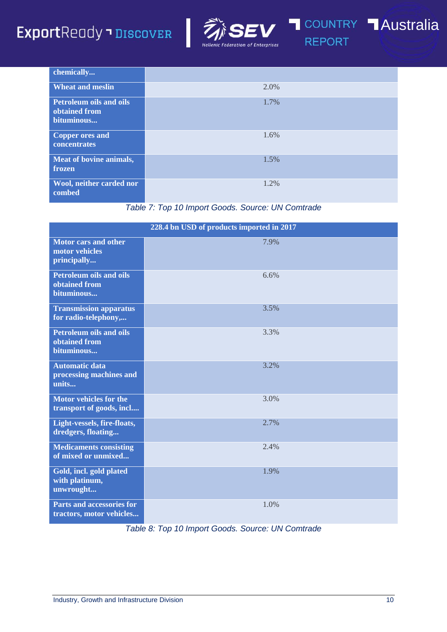# ExportReady - DISCOVER



I

**COUNTRY Australia REPORT** 

| chemically                                                    |      |
|---------------------------------------------------------------|------|
| <b>Wheat and meslin</b>                                       | 2.0% |
| <b>Petroleum oils and oils</b><br>obtained from<br>bituminous | 1.7% |
| Copper ores and<br>concentrates                               | 1.6% |
| Meat of bovine animals,<br>frozen                             | 1.5% |
| Wool, neither carded nor<br>combed                            | 1.2% |

*Table 7: Top 10 Import Goods. Source: UN Comtrade*

|                                                               | 228.4 bn USD of products imported in 2017 |
|---------------------------------------------------------------|-------------------------------------------|
| <b>Motor cars and other</b><br>motor vehicles<br>principally  | 7.9%                                      |
| <b>Petroleum oils and oils</b><br>obtained from<br>bituminous | 6.6%                                      |
| <b>Transmission apparatus</b><br>for radio-telephony,         | 3.5%                                      |
| <b>Petroleum oils and oils</b><br>obtained from<br>bituminous | 3.3%                                      |
| <b>Automatic data</b><br>processing machines and<br>units     | 3.2%                                      |
| <b>Motor vehicles for the</b><br>transport of goods, incl     | 3.0%                                      |
| Light-vessels, fire-floats,<br>dredgers, floating             | 2.7%                                      |
| <b>Medicaments consisting</b><br>of mixed or unmixed          | 2.4%                                      |
| Gold, incl. gold plated<br>with platinum,<br>unwrought        | 1.9%                                      |
| <b>Parts and accessories for</b><br>tractors, motor vehicles  | 1.0%                                      |

*Table 8: Top 10 Import Goods. Source: UN Comtrade*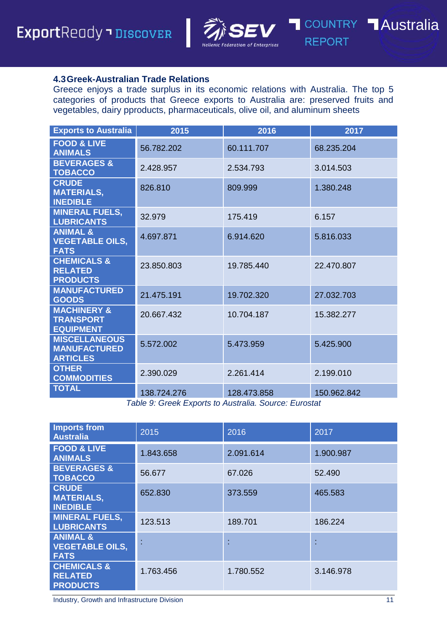

**REPORT** 

### **4.3Greek-Australian Trade Relations**

Greece enjoys a trade surplus in its economic relations with Australia. The top 5 categories of products that Greece exports to Australia are: preserved fruits and vegetables, dairy pproducts, pharmaceuticals, olive oil, and aluminum sheets

| <b>Exports to Australia</b>                                    | 2015        | 2016        | 2017        |
|----------------------------------------------------------------|-------------|-------------|-------------|
| <b>FOOD &amp; LIVE</b><br><b>ANIMALS</b>                       | 56.782.202  | 60.111.707  | 68.235.204  |
| <b>BEVERAGES &amp;</b><br><b>TOBACCO</b>                       | 2.428.957   | 2.534.793   | 3.014.503   |
| <b>CRUDE</b><br><b>MATERIALS,</b><br><b>INEDIBLE</b>           | 826.810     | 809.999     | 1.380.248   |
| <b>MINERAL FUELS,</b><br><b>LUBRICANTS</b>                     | 32.979      | 175.419     | 6.157       |
| <b>ANIMAL &amp;</b><br><b>VEGETABLE OILS,</b><br><b>FATS</b>   | 4.697.871   | 6.914.620   | 5.816.033   |
| <b>CHEMICALS &amp;</b><br><b>RELATED</b><br><b>PRODUCTS</b>    | 23.850.803  | 19.785.440  | 22.470.807  |
| <b>MANUFACTURED</b><br><b>GOODS</b>                            | 21.475.191  | 19.702.320  | 27.032.703  |
| <b>MACHINERY &amp;</b><br><b>TRANSPORT</b><br><b>EQUIPMENT</b> | 20.667.432  | 10.704.187  | 15.382.277  |
| <b>MISCELLANEOUS</b><br><b>MANUFACTURED</b><br><b>ARTICLES</b> | 5.572.002   | 5.473.959   | 5.425.900   |
| <b>OTHER</b><br><b>COMMODITIES</b>                             | 2.390.029   | 2.261.414   | 2.199.010   |
| <b>TOTAL</b>                                                   | 138.724.276 | 128.473.858 | 150.962.842 |

*Table 9: Greek Exports to Australia. Source: Eurostat*

| <b>Imports from</b><br><b>Australia</b>                      | 2015      | 2016      | 2017      |
|--------------------------------------------------------------|-----------|-----------|-----------|
| <b>FOOD &amp; LIVE</b><br><b>ANIMALS</b>                     | 1.843.658 | 2.091.614 | 1.900.987 |
| <b>BEVERAGES &amp;</b><br><b>TOBACCO</b>                     | 56.677    | 67.026    | 52.490    |
| <b>CRUDE</b><br><b>MATERIALS,</b><br><b>INEDIBLE</b>         | 652.830   | 373.559   | 465.583   |
| <b>MINERAL FUELS,</b><br><b>LUBRICANTS</b>                   | 123.513   | 189.701   | 186.224   |
| <b>ANIMAL &amp;</b><br><b>VEGETABLE OILS,</b><br><b>FATS</b> |           | ٠         |           |
| <b>CHEMICALS &amp;</b><br><b>RELATED</b><br><b>PRODUCTS</b>  | 1.763.456 | 1.780.552 | 3.146.978 |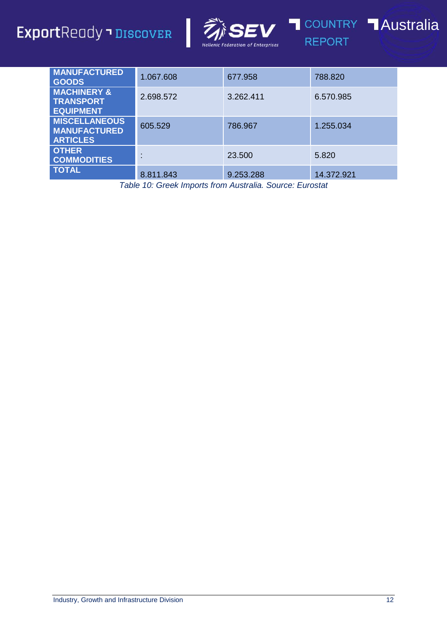

I



**REPORT** 



| <b>MANUFACTURED</b><br><b>GOODS</b>                            | 1.067.608 | 677.958   | 788.820    |
|----------------------------------------------------------------|-----------|-----------|------------|
| <b>MACHINERY &amp;</b><br><b>TRANSPORT</b><br><b>EQUIPMENT</b> | 2.698.572 | 3.262.411 | 6.570.985  |
| <b>MISCELLANEOUS</b><br><b>MANUFACTURED</b><br><b>ARTICLES</b> | 605.529   | 786.967   | 1.255.034  |
| <b>OTHER</b><br><b>COMMODITIES</b>                             |           | 23.500    | 5.820      |
| <b>TOTAL</b>                                                   | 8.811.843 | 9.253.288 | 14.372.921 |

*Table 10: Greek Imports from Australia. Source: Eurostat*